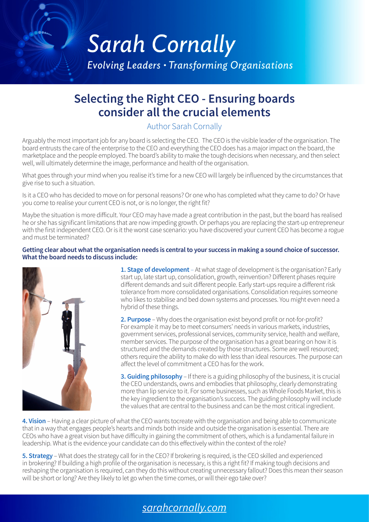# **Sarah Cornally**

**Evolving Leaders • Transforming Organisations** 

## **Selecting the Right CEO - Ensuring boards consider all the crucial elements**

#### Author Sarah Cornally

Arguably the most important job for any board is selecting the CEO. The CEO is the visible leader of the organisation. The board entrusts the care of the enterprise to the CEO and everything the CEO does has a major impact on the board, the marketplace and the people employed. The board's ability to make the tough decisions when necessary, and then select well, will ultimately determine the image, performance and health of the organisation.

What goes through your mind when you realise it's time for a new CEO will largely be influenced by the circumstances that give rise to such a situation.

Is it a CEO who has decided to move on for personal reasons? Or one who has completed what they came to do? Or have you come to realise your current CEO is not, or is no longer, the right fit?

Maybe the situation is more difficult. Your CEO may have made a great contribution in the past, but the board has realised he or she has significant limitations that are now impeding growth. Or perhaps you are replacing the start-up entrepreneur with the first independent CEO. Or is it the worst case scenario: you have discovered your current CEO has become a rogue and must be terminated?

#### **Getting clear about what the organisation needs is central to your success in making a sound choice of successor. What the board needs to discuss include:**



**1. Stage of development** – At what stage of development is the organisation? Early start up, late start up, consolidation, growth, reinvention? Different phases require different demands and suit different people. Early start-ups require a different risk tolerance from more consolidated organisations. Consolidation requires someone who likes to stabilise and bed down systems and processes. You might even need a hybrid of these things.

**2. Purpose** – Why does the organisation exist beyond profit or not-for-profit? For example it may be to meet consumers' needs in various markets, industries, government services, professional services, community service, health and welfare, member services. The purpose of the organisation has a great bearing on how it is structured and the demands created by those structures. Some are well resourced; others require the ability to make do with less than ideal resources. The purpose can affect the level of commitment a CEO has for the work.

**3. Guiding philosophy** – If there is a guiding philosophy of the business, it is crucial the CEO understands, owns and embodies that philosophy, clearly demonstrating more than lip service to it. For some businesses, such as Whole Foods Market, this is the key ingredient to the organisation's success. The guiding philosophy will include the values that are central to the business and can be the most critical ingredient.

**4. Vision** – Having a clear picture of what the CEO wants tocreate with the organisation and being able to communicate that in a way that engages people's hearts and minds both inside and outside the organisation is essential. There are CEOs who have a great vision but have difficulty in gaining the commitment of others, which is a fundamental failure in leadership. What is the evidence your candidate can do this effectively within the context of the role?

**5. Strategy** – What does the strategy call for in the CEO? If brokering is required, is the CEO skilled and experienced in brokering? If building a high profile of the organisation is necessary, is this a right fit? If making tough decisions and reshaping the organisation is required, can they do this without creating unnecessary fallout? Does this mean their season will be short or long? Are they likely to let go when the time comes, or will their ego take over?

## *[sarahcornally.com](http://sarahcornally.com)*